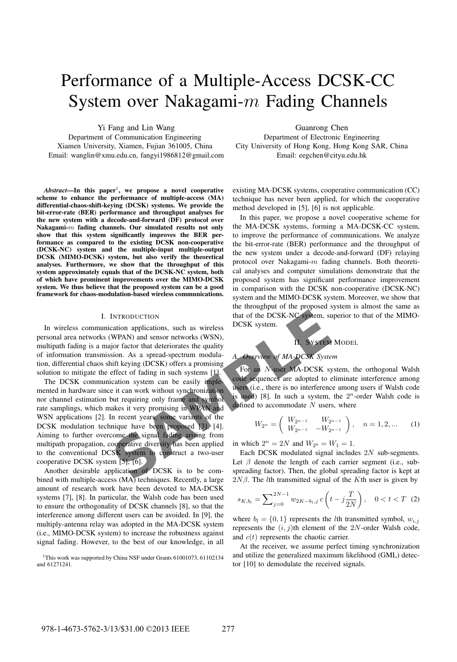# Performance of a Multiple-Access DCSK-CC System over Nakagami- $m$  Fading Channels

Yi Fang and Lin Wang

Department of Communication Engineering Xiamen University, Xiamen, Fujian 361005, China Email: wanglin@xmu.edu.cn, fangyi1986812@gmail.com

Abstract—In this paper<sup>1</sup>, we propose a novel cooperative scheme to enhance the performance of multiple-access (MA) differential-chaos-shift-keying (DCSK) systems. We provide the bit-error-rate (BER) performance and throughput analyses for the new system with a decode-and-forward (DF) protocol over Nakagami-m fading channels. Our simulated results not only show that this system significantly improves the BER performance as compared to the existing DCSK non-cooperative (DCSK-NC) system and the multiple-input multiple-output DCSK (MIMO-DCSK) system, but also verify the theoretical analyses. Furthermore, we show that the throughput of this system approximately equals that of the DCSK-NC system, both of which have prominent improvements over the MIMO-DCSK system. We thus believe that the proposed system can be a good framework for chaos-modulation-based wireless communications.

# I. INTRODUCTION

In wireless communication applications, such as wireless personal area networks (WPAN) and sensor networks (WSN), multipath fading is a major factor that deteriorates the quality of information transmission. As a spread-spectrum modulation, differential chaos shift keying (DCSK) offers a promising solution to mitigate the effect of fading in such systems [1].

INTRODUCTION<br>
SCRIPTION THE CONTROLLED TRIE and NUSTRIAL INCRED INTENSITY CONTRACT INTO A SUMPARY AND and sensor networks (WSN),<br>
SUCK system.<br>
SUCK SYSTEM<br>
SUCK SYSTEM<br>
SUCK SYSTEM<br>
SUCK SYSTEM<br>
SUCK SYSTEM<br>
SUCK AS a sp The DCSK communication system can be easily implemented in hardware since it can work without synchronization nor channel estimation but requiring only frame and symbol rate samplings, which makes it very promising in WPAN and WSN applications [2]. In recent years, some variants of the DCSK modulation technique have been proposed [3], [4]. Aiming to further overcome the signal fading arising from multipath propagation, cooperative diversity has been applied to the conventional DCSK system to construct a two-user cooperative DCSK system [5], [6].

Another desirable application of DCSK is to be combined with multiple-access (MA) techniques. Recently, a large amount of research work have been devoted to MA-DCSK systems [7], [8]. In particular, the Walsh code has been used to ensure the orthogonality of DCSK channels [8], so that the interference among different users can be avoided. In [9], the multiply-antenna relay was adopted in the MA-DCSK system (i.e., MIMO-DCSK system) to increase the robustness against signal fading. However, to the best of our knowledge, in all

<sup>1</sup>This work was supported by China NSF under Grants 61001073, 61102134 and 61271241.

Guanrong Chen

Department of Electronic Engineering City University of Hong Kong, Hong Kong SAR, China Email: eegchen@cityu.edu.hk

existing MA-DCSK systems, cooperative communication (CC) technique has never been applied, for which the cooperative method developed in [5], [6] is not applicable.

In this paper, we propose a novel cooperative scheme for the MA-DCSK systems, forming a MA-DCSK-CC system, to improve the performance of communications. We analyze the bit-error-rate (BER) performance and the throughput of the new system under a decode-and-forward (DF) relaying protocol over Nakagami- $m$  fading channels. Both theoretical analyses and computer simulations demonstrate that the proposed system has significant performance improvement in comparison with the DCSK non-cooperative (DCSK-NC) system and the MIMO-DCSK system. Moreover, we show that the throughput of the proposed system is almost the same as that of the DCSK-NC system, superior to that of the MIMO-DCSK system.

II. SYSTEM MODEL

# *A. Overview of MA-DCSK System*

For an N-user MA-DCSK system, the orthogonal Walsh code sequences are adopted to eliminate interference among users (i.e., there is no interference among users if Walsh code is used) [8]. In such a system, the  $2^n$ -order Walsh code is defined to accommodate  $N$  users, where

$$
W_{2^n} = \begin{pmatrix} W_{2^{n-1}} & W_{2^{n-1}} \\ W_{2^{n-1}} & -W_{2^{n-1}} \end{pmatrix}, \quad n = 1, 2, \dots \quad (1)
$$

in which  $2^n = 2N$  and  $W_{2^0} = W_1 = 1$ .

Each DCSK modulated signal includes 2N sub-segments. Let  $\beta$  denote the length of each carrier segment (i.e., subspreading factor). Then, the global spreading factor is kept at  $2N\beta$ . The *l*th transmitted signal of the K<sup>th</sup> user is given by

$$
s_{K,b_l} = \sum_{j=0}^{2N-1} w_{2K-b_l,j} \, c\left(t - j\frac{T}{2N}\right), \quad 0 < t < T \tag{2}
$$

where  $b_l = \{0, 1\}$  represents the *l*th transmitted symbol,  $w_{i,j}$ represents the  $(i, j)$ th element of the 2N-order Walsh code, and  $c(t)$  represents the chaotic carrier.

At the receiver, we assume perfect timing synchronization and utilize the generalized maximum likelihood (GML) detector [10] to demodulate the received signals.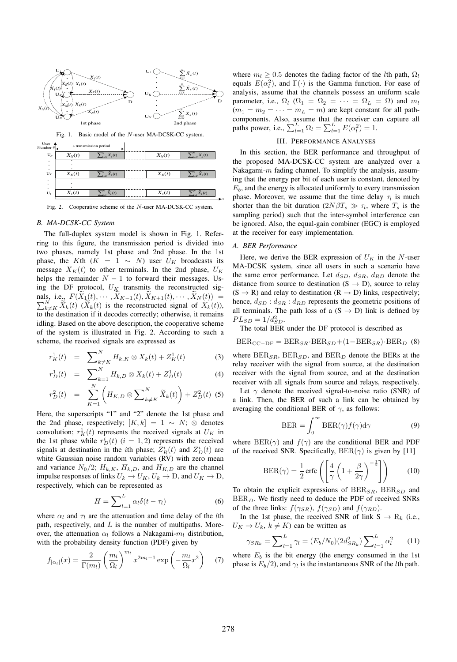

Fig. 1. Basic model of the N-user MA-DCSK-CC system.

| User 4<br>Number # | a transmission period<br>∼ |                                         |          |                                           |
|--------------------|----------------------------|-----------------------------------------|----------|-------------------------------------------|
| $U_N$              | $X_N(t)$                   | $\neg N$<br>$\tilde{X}_k(t)$<br>$4 - N$ | $X_N(t)$ | $\frac{\widetilde{X}_k(t)}{k}$            |
| ٠<br>٠             | ٠                          |                                         |          |                                           |
| ٠<br>$U_K$         | $X_K(t)$                   | $\sum_{k\neq K}^{N} \tilde{X}_{k}(t)$   | $X_K(t)$ | $\sum_{k\neq K}^{N} \widetilde{X}_{k}(t)$ |
| ٠<br>٠             | ٠                          |                                         |          |                                           |
| ٠<br>$U_1$         | $X_1(t)$                   | $\overline{\tilde{X}_k(t)}$             | $X_1(t)$ | $\widetilde{X}_k(t)$                      |
|                    |                            |                                         |          |                                           |

Fig. 2. Cooperative scheme of the N-user MA-DCSK-CC system.

*B. MA-DCSK-CC System* The full-duplex system model is shown in Fig. 1. Referring to this figure, the transmission period is divided into two phases, namely 1st phase and 2nd phase. In the 1st phase, the Kth ( $K = 1 \sim N$ ) user  $U_K$  broadcasts its message  $X_K(t)$  to other terminals. In the 2nd phase,  $U_K$ helps the remainder  $N - 1$  to forward their messages. Using the DF protocol,  $U_K$  transmits the reconstructed signals, i.e.,  $F(\widetilde{X}_1(t), \cdots, \widetilde{X}_{K-1}(t), \widetilde{X}_{K+1}(t), \cdots, \widetilde{X}_N(t)) = \sum_{k \in \mathcal{K}}^N \widetilde{X}_k(t)$   $(\widetilde{X}_k(t))$  is the reconstructed signal of  $X_k(t)$ ).  $\tilde{X}_{k+K}$   $\tilde{X}_{k}(t)$  ( $\tilde{X}_{k}(t)$ ) is the reconstructed signal of  $X_{k}(t)$ ), to the destination if it decodes correctly; otherwise, it remains idling. Based on the above description, the cooperative scheme of the system is illustrated in Fig. 2. According to such a scheme, the received signals are expressed as

$$
r_K^1(t) = \sum_{k \neq K}^{N} H_{k,K} \otimes X_k(t) + Z_K^1(t) \tag{3}
$$

$$
r_D^1(t) = \sum_{N}^{N} H_{k,D} \otimes X_k(t) + Z_D^1(t) \tag{4}
$$

$$
r_D^2(t) = \sum_{K=1}^N \left( H_{K,D} \otimes \sum_{k \neq K}^N \widetilde{X}_k(t) \right) + Z_D^2(t) \tag{5}
$$

Here, the superscripts "1" and "2" denote the 1st phase and the 2nd phase, respectively;  $[K, k] = 1 \sim N$ ; ⊗ denotes convolution;  $r_K^1(t)$  represents the received signals at  $U_K$  in the 1st phase while  $r_D^i(t)$  ( $i = 1, 2$ ) represents the received signals at destination in the *i*th phase;  $Z_R^i(t)$  and  $Z_D^i(t)$  are white Gaussian noise random variables (RV) with zero mean and variance  $N_0/2$ ;  $H_{k,K}$ ,  $H_{k,D}$ , and  $H_{K,D}$  are the channel impulse responses of links  $U_k \to U_K$ ,  $U_k \to D$ , and  $U_K \to D$ , respectively, which can be represented as

$$
H = \sum_{l=1}^{L} \alpha_l \delta(t - \tau_l)
$$
 (6)

where  $\alpha_l$  and  $\tau_l$  are the attenuation and time delay of the *l*th path, respectively, and  $L$  is the number of multipaths. Moreover, the attenuation  $\alpha_l$  follows a Nakagami- $m_l$  distribution, with the probability density function (PDF) given by

$$
f_{|\alpha_l|}(x) = \frac{2}{\Gamma(m_l)} \left(\frac{m_l}{\Omega_l}\right)^{m_l} x^{2m_l - 1} \exp\left(-\frac{m_l}{\Omega_l}x^2\right) \tag{7}
$$

where  $m_l \geq 0.5$  denotes the fading factor of the *l*th path,  $\Omega_l$ equals  $E(\alpha_i^2)$ , and  $\Gamma(\cdot)$  is the Gamma function. For ease of analysis, assume that the channels possess an uniform scale parameter, i.e.,  $\Omega_l$  ( $\Omega_1 = \Omega_2 = \cdots = \Omega_L = \Omega$ ) and  $m_l$  $(m_1 = m_2 = \cdots = m_L = m)$  are kept constant for all pathcomponents. Also, assume that the receiver can capture all paths power, i.e.,  $\sum_{l=1}^{L} \Omega_l = \sum_{l=1}^{L} E(\alpha_l^2) = 1$ .

# III. PERFORMANCE ANALYSES

In this section, the BER performance and throughput of the proposed MA-DCSK-CC system are analyzed over a Nakagami- $m$  fading channel. To simplify the analysis, assuming that the energy per bit of each user is constant, denoted by  $E<sub>b</sub>$ , and the energy is allocated uniformly to every transmission phase. Moreover, we assume that the time delay  $\tau_l$  is much shorter than the bit duration  $(2N\beta T_s \gg \tau_l)$ , where  $T_s$  is the sampling period) such that the inter-symbol interference can be ignored. Also, the equal-gain combiner (EGC) is employed at the receiver for easy implementation.

t

Here, we derive the BER expression of  $U_K$  in the N-user MA-DCSK system, since all users in such a scenario have the same error performance. Let  $d_{SD}$ ,  $d_{SR}$ ,  $d_{RD}$  denote the distance from source to destination  $(S \rightarrow D)$ , source to relay  $(S \rightarrow R)$  and relay to destination  $(R \rightarrow D)$  links, respectively; hence,  $d_{SD} : d_{SR} : d_{RD}$  represents the geometric positions of all terminals. The path loss of a  $(S \rightarrow D)$  link is defined by  $PL_{SD} = 1/d_{SD}^2$ .

The total BER under the DF protocol is described as

$$
BER_{CC-DF} = BER_{SR} \cdot BER_{SD} + (1 - BER_{SR}) \cdot BER_D \quad (8)
$$

where  $BER_{SR}$ ,  $BER_{SD}$ , and  $BER_D$  denote the BERs at the relay receiver with the signal from source, at the destination receiver with the signal from source, and at the destination receiver with all signals from source and relays, respectively.

Let  $\gamma$  denote the received signal-to-noise ratio (SNR) of a link. Then, the BER of such a link can be obtained by averaging the conditional BER of  $\gamma$ , as follows:

$$
\text{BER} = \int_0^\infty \text{BER}(\gamma) f(\gamma) d\gamma \tag{9}
$$

where  $BER(\gamma)$  and  $f(\gamma)$  are the conditional BER and PDF of the received SNR. Specifically,  $BER(\gamma)$  is given by [11]

$$
BER(\gamma) = \frac{1}{2} \operatorname{erfc}\left(\left[\frac{4}{\gamma} \left(1 + \frac{\beta}{2\gamma}\right)^{-\frac{1}{2}}\right]\right) \tag{10}
$$

To obtain the explicit expressions of  $BER_{SR}$ ,  $BER_{SD}$  and  $BER<sub>D</sub>$ . We firstly need to deduce the PDF of received SNRs of the three links:  $f(\gamma_{SR})$ ,  $f(\gamma_{SD})$  and  $f(\gamma_{RD})$ .

In the 1st phase, the received SNR of link  $S \rightarrow R_k$  (i.e.,  $U_K \to U_k$ ,  $k \neq K$ ) can be written as

$$
\gamma_{SR_k} = \sum_{l=1}^{L} \gamma_l = (E_b/N_0)(2d_{SR_k}^2) \sum_{l=1}^{L} \alpha_l^2 \tag{11}
$$

where  $E_b$  is the bit energy (the energy consumed in the 1st phase is  $E_b/2$ , and  $\gamma_l$  is the instantaneous SNR of the *l*th path.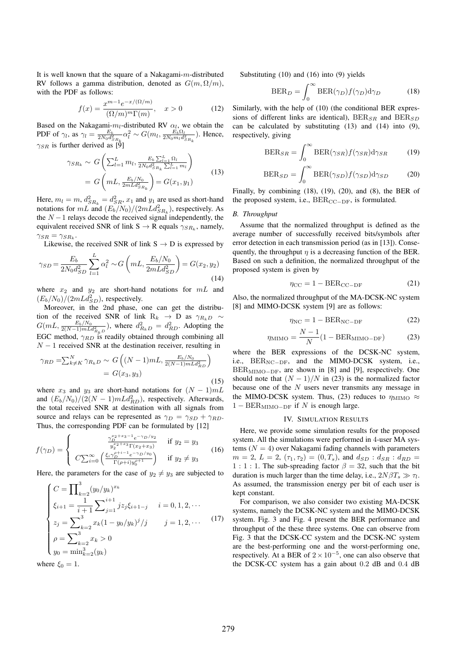It is well known that the square of a Nakagami- $m$ -distributed RV follows a gamma distribution, denoted as  $G(m, \Omega/m)$ , with the PDF as follows:

$$
f(x) = \frac{x^{m-1}e^{-x/(\Omega/m)}}{(\Omega/m)^m \Gamma(m)}, \quad x > 0
$$
 (12)

Based on the Nakagami- $m_l$ -distributed RV  $\alpha_l$ , we obtain the PDF of  $\gamma_l$ , as  $\gamma_l = \frac{E_b}{2N_0 d_{SR_k}^2}$  $\alpha_l^2 \sim G(m_l, \frac{\vec{E_b} \Omega_l}{2N_0 m_l d_{SR_k}^2})$ . Hence,  $\gamma_{SR}$  is further derived as [9]

$$
\gamma_{SR_k} \sim G\left(\sum_{l=1}^L m_l, \frac{E_b \sum_{l=1}^L \Omega_l}{2N_0 d_{SR_k}^2 \sum_{l=1}^L m_l}\right)
$$
  
= 
$$
G\left(mL, \frac{E_b/N_0}{2mL d_{SR_k}^2}\right) = G(x_1, y_1)
$$
 (13)

Here,  $m_l = m$ ,  $d_{SR_k}^2 = d_{SR}^2$ ,  $x_1$  and  $y_1$  are used as short-hand notations for  $m\ddot{L}$  and  $(E_b/N_0)/(2mLd_{SR_k}^2)$ , respectively. As the  $N-1$  relays decode the received signal independently, the equivalent received SNR of link  $S \rightarrow R$  equals  $\gamma_{SR_k}$ , namely,  $\gamma_{SR} = \gamma_{SR_k}$ .

Likewise, the received SNR of link  $S \rightarrow D$  is expressed by

$$
\gamma_{SD} = \frac{E_b}{2N_0 d_{SD}^2} \sum_{l=1}^{L} \alpha_l^2 \sim G\left(mL, \frac{E_b/N_0}{2mL d_{SD}^2}\right) = G(x_2, y_2)
$$
\n(14)

where  $x_2$  and  $y_2$  are short-hand notations for  $mL$  and  $(E_b/N_0)/(2mLd_{SD}^2)$ , respectively.

Moreover, in the 2nd phase, one can get the distribution of the received SNR of link R<sub>k</sub> → D as  $\gamma_{R_kD}$  ~  $G(mL, \frac{E_b/N_0}{2(N-1)mLd_{R_kD}^2})$ , where  $d_{R_kD}^2 = d_{RD}^2$ . Adopting the EGC method,  $\gamma_{RD}$  is readily obtained through combining all  $N - 1$  received SNR at the destination receiver, resulting in

$$
\gamma_{RD} = \sum_{k \neq K}^{N} \gamma_{R_k D} \sim G\left((N-1) m L, \frac{E_b/N_0}{2(N-1) m L d_{RD}^2}\right)
$$

$$
= G(x_3, y_3)
$$
(15)

where  $x_3$  and  $y_3$  are short-hand notations for  $(N-1) m L$ and  $(E_b/N_0)/(2(N-1) m L d_{RD}^2)$ , respectively. Afterwards, the total received SNR at destination with all signals from source and relays can be represented as  $\gamma_D = \gamma_{SD} + \gamma_{RD}$ . Thus, the corresponding PDF can be formulated by [12]

$$
f(\gamma_D) = \begin{cases} \frac{\gamma_D^{x_2 + x_3 - 1} e^{-\gamma_D / y_2}}{y_2^{x_2 + x_3} \Gamma(x_2 + x_3)} & \text{if } y_2 = y_3\\ C \sum_{i=0}^{\infty} \left( \frac{\xi_i \gamma_D^{p+i-1} e^{-\gamma_D / y_0}}{\Gamma(\rho + i) y_0^{p+1}} \right) & \text{if } y_2 \neq y_3 \end{cases}
$$
(16)

Here, the parameters for the case of  $y_2 \neq y_3$  are subjected to

$$
\begin{cases}\nC = \prod_{k=2}^{3} (y_0/y_k)^{x_k} \\
\xi_{i+1} = \frac{1}{i+1} \sum_{j=1}^{i+1} j z_j \xi_{i+1-j} \quad i = 0, 1, 2, \cdots \\
z_j = \sum_{k=2}^{3} x_k (1 - y_0/y_k)^j / j \quad j = 1, 2, \cdots\n\end{cases}
$$
\n(17)  
\n
$$
\rho = \sum_{k=2}^{3} x_k > 0
$$
\n
$$
y_0 = \min_{k=2}^{3} (y_k)
$$

where  $\xi_0 = 1$ .

Substituting (10) and (16) into (9) yields

$$
\text{BER}_D = \int_0^\infty \text{BER}(\gamma_D) f(\gamma_D) d\gamma_D \tag{18}
$$

Similarly, with the help of (10) (the conditional BER expressions of different links are identical),  $BER_{SR}$  and  $BER_{SD}$ can be calculated by substituting (13) and (14) into (9), respectively, giving

$$
BER_{SR} = \int_0^\infty BER(\gamma_{SR}) f(\gamma_{SR}) d\gamma_{SR}
$$
 (19)

$$
\text{BER}_{SD} = \int_0^\infty \text{BER}(\gamma_{SD}) f(\gamma_{SD}) \text{d}\gamma_{SD} \tag{20}
$$

Finally, by combining  $(18)$ ,  $(19)$ ,  $(20)$ , and  $(8)$ , the BER of the proposed system, i.e.,  $BER_{CC-DF}$ , is formulated.

*B. Throughput* Assume that the normalized throughput is defined as the average number of successfully received bits/symbols after error detection in each transmission period (as in [13]). Consequently, the throughput  $\eta$  is a decreasing function of the BER. Based on such a definition, the normalized throughput of the proposed system is given by

$$
\eta_{\rm CC} = 1 - \text{BER}_{\rm CC-DF} \tag{21}
$$

Also, the normalized throughput of the MA-DCSK-NC system [8] and MIMO-DCSK system [9] are as follows:

$$
\eta_{\rm NC} = 1 - \text{BER}_{\rm NC-DF} \tag{22}
$$

$$
\eta_{\text{MIMO}} = \frac{N-1}{N} (1 - \text{BER}_{\text{MIMO-DF}})
$$
(23)

where the BER expressions of the DCSK-NC system, i.e., BER<sub>NC−DF</sub>, and the MIMO-DCSK system, i.e., BER<sub>MIMO−DF</sub>, are shown in [8] and [9], respectively. One should note that  $(N - 1)/N$  in (23) is the normalized factor because one of the  $N$  users never transmits any message in the MIMO-DCSK system. Thus, (23) reduces to  $\eta_{\text{MIMO}} \approx$  $1 - BER_{MIMO-DF}$  if N is enough large.

## IV. SIMULATION RESULTS

Here, we provide some simulation results for the proposed system. All the simulations were performed in 4-user MA systems ( $N = 4$ ) over Nakagami fading channels with parameters  $m = 2, L = 2, (\tau_1, \tau_2) = (0, T_s),$  and  $d_{SD} : d_{SR} : d_{RD} =$ 1:1:1. The sub-spreading factor  $\beta = 32$ , such that the bit duration is much larger than the time delay, i.e.,  $2N\beta T_s \gg \tau_l$ . As assumed, the transmission energy per bit of each user is kept constant.

For comparison, we also consider two existing MA-DCSK systems, namely the DCSK-NC system and the MIMO-DCSK system. Fig. 3 and Fig. 4 present the BER performance and throughput of the these three systems. One can observe from Fig. 3 that the DCSK-CC system and the DCSK-NC system are the best-performing one and the worst-performing one, respectively. At a BER of  $2 \times 10^{-5}$ , one can also observe that the DCSK-CC system has a gain about 0.2 dB and 0.4 dB